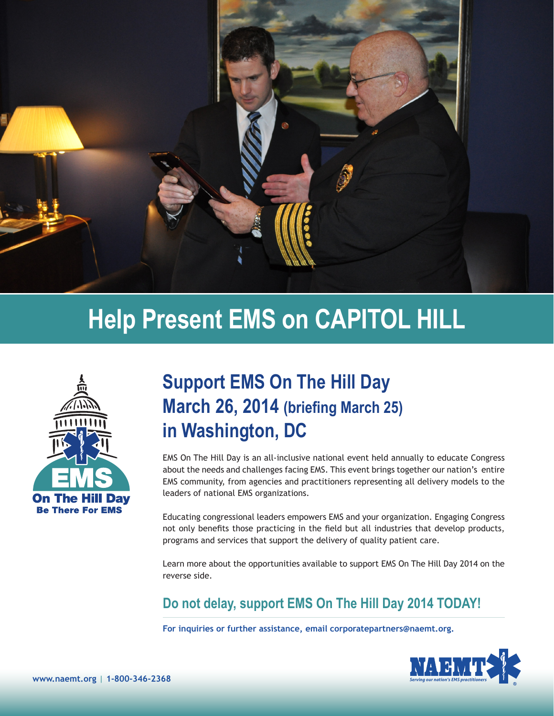

# **Help Present EMS on CAPITOL HILL**



## **Support EMS On The Hill Day March 26, 2014 (briefing March 25) in Washington, DC**

EMS On The Hill Day is an all-inclusive national event held annually to educate Congress about the needs and challenges facing EMS. This event brings together our nation's entire EMS community, from agencies and practitioners representing all delivery models to the leaders of national EMS organizations.

Educating congressional leaders empowers EMS and your organization. Engaging Congress not only benefits those practicing in the field but all industries that develop products, programs and services that support the delivery of quality patient care.

Learn more about the opportunities available to support EMS On The Hill Day 2014 on the reverse side.

**Do not delay, support EMS On The Hill Day 2014 TODAY!**

**For inquiries or further assistance, email corporatepartners@naemt.org.**